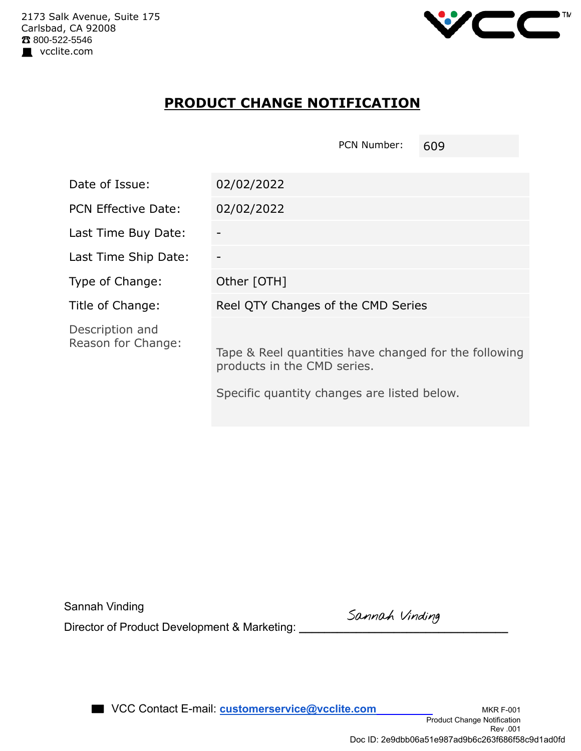

## **PRODUCT CHANGE NOTIFICATION**

|                                       | PCN Number:<br>609                                                                                                                  |  |  |  |  |  |
|---------------------------------------|-------------------------------------------------------------------------------------------------------------------------------------|--|--|--|--|--|
|                                       |                                                                                                                                     |  |  |  |  |  |
| Date of Issue:                        | 02/02/2022                                                                                                                          |  |  |  |  |  |
| <b>PCN Effective Date:</b>            | 02/02/2022                                                                                                                          |  |  |  |  |  |
| Last Time Buy Date:                   |                                                                                                                                     |  |  |  |  |  |
| Last Time Ship Date:                  |                                                                                                                                     |  |  |  |  |  |
| Type of Change:                       | Other [OTH]                                                                                                                         |  |  |  |  |  |
| Title of Change:                      | Reel QTY Changes of the CMD Series                                                                                                  |  |  |  |  |  |
| Description and<br>Reason for Change: | Tape & Reel quantities have changed for the following<br>products in the CMD series.<br>Specific quantity changes are listed below. |  |  |  |  |  |

| Sannah Vinding |  |
|----------------|--|
|----------------|--|

Director of Product Development & Marketing: **\_\_\_\_\_\_\_\_\_\_\_\_\_\_\_\_\_\_\_\_\_\_\_\_\_\_\_\_\_\_\_\_\_**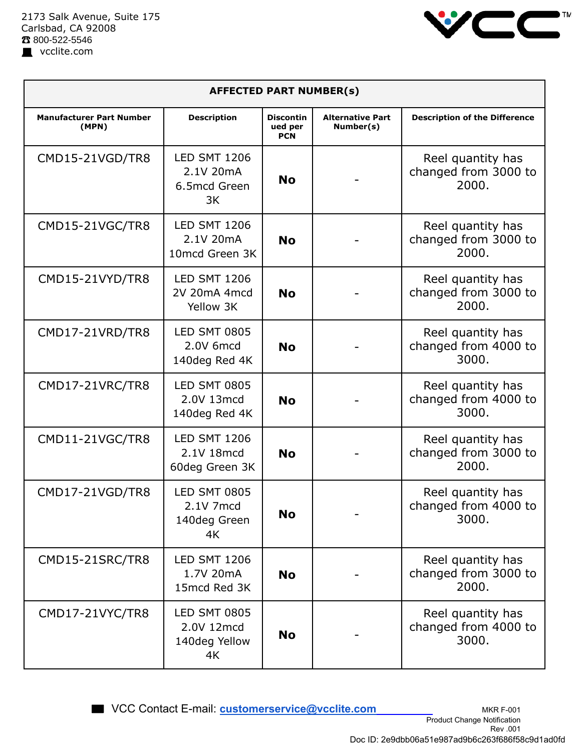

| <b>AFFECTED PART NUMBER(s)</b>           |                                                          |                                           |                                      |                                                    |  |  |
|------------------------------------------|----------------------------------------------------------|-------------------------------------------|--------------------------------------|----------------------------------------------------|--|--|
| <b>Manufacturer Part Number</b><br>(MPN) | <b>Description</b>                                       | <b>Discontin</b><br>ued per<br><b>PCN</b> | <b>Alternative Part</b><br>Number(s) | <b>Description of the Difference</b>               |  |  |
| CMD15-21VGD/TR8                          | <b>LED SMT 1206</b><br>2.1V 20mA<br>6.5mcd Green<br>3K   | <b>No</b>                                 |                                      | Reel quantity has<br>changed from 3000 to<br>2000. |  |  |
| CMD15-21VGC/TR8                          | <b>LED SMT 1206</b><br>2.1V 20mA<br>10mcd Green 3K       | <b>No</b>                                 |                                      | Reel quantity has<br>changed from 3000 to<br>2000. |  |  |
| CMD15-21VYD/TR8                          | <b>LED SMT 1206</b><br>2V 20mA 4mcd<br>Yellow 3K         | <b>No</b>                                 |                                      | Reel quantity has<br>changed from 3000 to<br>2000. |  |  |
| CMD17-21VRD/TR8                          | <b>LED SMT 0805</b><br>2.0V 6mcd<br>140deg Red 4K        | <b>No</b>                                 |                                      | Reel quantity has<br>changed from 4000 to<br>3000. |  |  |
| CMD17-21VRC/TR8                          | <b>LED SMT 0805</b><br>2.0V 13mcd<br>140deg Red 4K       | <b>No</b>                                 |                                      | Reel quantity has<br>changed from 4000 to<br>3000. |  |  |
| CMD11-21VGC/TR8                          | <b>LED SMT 1206</b><br>2.1V 18mcd<br>60deg Green 3K      | <b>No</b>                                 |                                      | Reel quantity has<br>changed from 3000 to<br>2000. |  |  |
| CMD17-21VGD/TR8                          | <b>LED SMT 0805</b><br>2.1V 7mcd<br>140deg Green<br>4K   | <b>No</b>                                 |                                      | Reel quantity has<br>changed from 4000 to<br>3000. |  |  |
| CMD15-21SRC/TR8                          | <b>LED SMT 1206</b><br>1.7V 20mA<br>15mcd Red 3K         | <b>No</b>                                 |                                      | Reel quantity has<br>changed from 3000 to<br>2000. |  |  |
| CMD17-21VYC/TR8                          | <b>LED SMT 0805</b><br>2.0V 12mcd<br>140deg Yellow<br>4K | <b>No</b>                                 |                                      | Reel quantity has<br>changed from 4000 to<br>3000. |  |  |